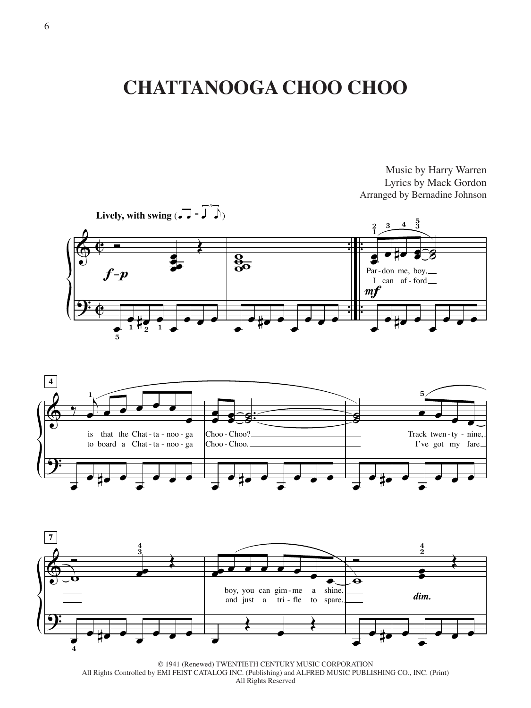## **CHATTANOOGA CHOO CHOO**



Music by Harry Warren Lyrics by Mack Gordon





© 1941 (Renewed) TWENTIETH CENTURY MUSIC CORPORATION All Rights Controlled by EMI FEIST CATALOG INC. (Publishing) and ALFRED MUSIC PUBLISHING CO., INC. (Print) All Rights Reserved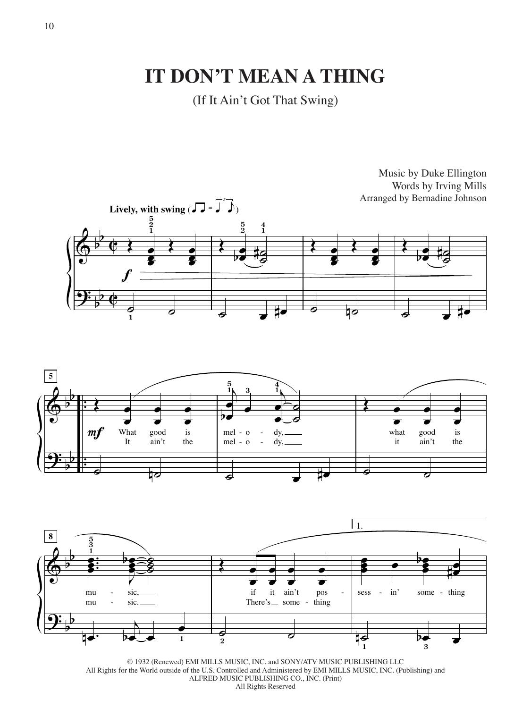**IT DON'T MEAN A THING**

(If It Ain't Got That Swing)







© 1932 (Renewed) EMI MILLS MUSIC, INC. and SONY/ATV MUSIC PUBLISHING LLC All Rights for the World outside of the U.S. Controlled and Administered by EMI MILLS MUSIC, INC. (Publishing) and ALFRED MUSIC PUBLISHING CO., INC. (Print) All Rights Reserved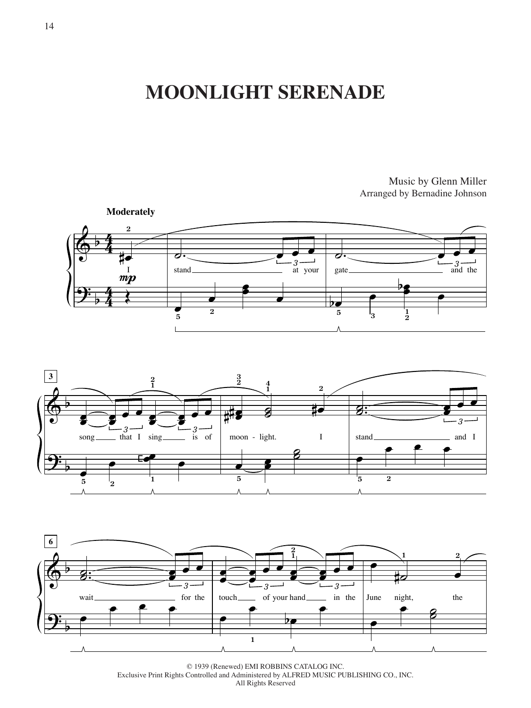## **MOONLIGHT SERENADE**

Music by Glenn Miller Arranged by Bernadine Johnson







© 1939 (Renewed) EMI ROBBINS CATALOG INC. Exclusive Print Rights Controlled and Administered by ALFRED MUSIC PUBLISHING CO., INC. All Rights Reserved